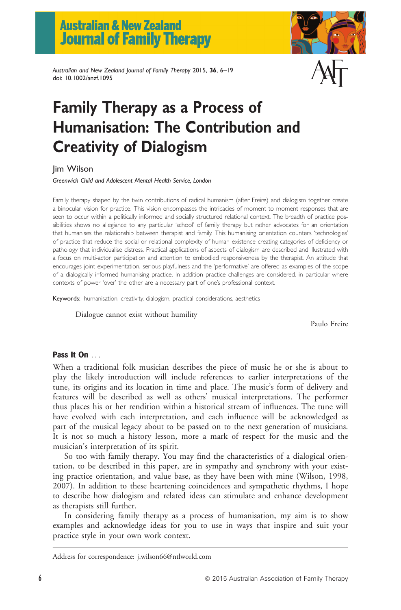

Australian and New Zealand Journal of Family Therapy 2015, 36, 6–19 doi: 10.1002/anzf.1095

# Family Therapy as a Process of Humanisation: The Contribution and Creativity of Dialogism

# Jim Wilson

Greenwich Child and Adolescent Mental Health Service, London

Family therapy shaped by the twin contributions of radical humanism (after Freire) and dialogism together create a binocular vision for practice. This vision encompasses the intricacies of moment to moment responses that are seen to occur within a politically informed and socially structured relational context. The breadth of practice possibilities shows no allegiance to any particular 'school' of family therapy but rather advocates for an orientation that humanises the relationship between therapist and family. This humanising orientation counters 'technologies' of practice that reduce the social or relational complexity of human existence creating categories of deficiency or pathology that individualise distress. Practical applications of aspects of dialogism are described and illustrated with a focus on multi-actor participation and attention to embodied responsiveness by the therapist. An attitude that encourages joint experimentation, serious playfulness and the 'performative' are offered as examples of the scope of a dialogically informed humanising practice. In addition practice challenges are considered, in particular where contexts of power 'over' the other are a necessary part of one's professional context.

Keywords: humanisation, creativity, dialogism, practical considerations, aesthetics

Dialogue cannot exist without humility

Paulo Freire

# Pass It On ...

When a traditional folk musician describes the piece of music he or she is about to play the likely introduction will include references to earlier interpretations of the tune, its origins and its location in time and place. The music's form of delivery and features will be described as well as others' musical interpretations. The performer thus places his or her rendition within a historical stream of influences. The tune will have evolved with each interpretation, and each influence will be acknowledged as part of the musical legacy about to be passed on to the next generation of musicians. It is not so much a history lesson, more a mark of respect for the music and the musician's interpretation of its spirit.

So too with family therapy. You may find the characteristics of a dialogical orientation, to be described in this paper, are in sympathy and synchrony with your existing practice orientation, and value base, as they have been with mine (Wilson, 1998, 2007). In addition to these heartening coincidences and sympathetic rhythms, I hope to describe how dialogism and related ideas can stimulate and enhance development as therapists still further.

In considering family therapy as a process of humanisation, my aim is to show examples and acknowledge ideas for you to use in ways that inspire and suit your practice style in your own work context.

Address for correspondence: j.wilson66@ntlworld.com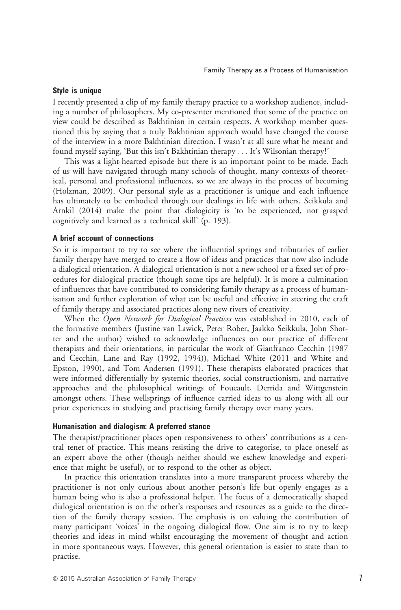#### Style is unique

I recently presented a clip of my family therapy practice to a workshop audience, including a number of philosophers. My co-presenter mentioned that some of the practice on view could be described as Bakhtinian in certain respects. A workshop member questioned this by saying that a truly Bakhtinian approach would have changed the course of the interview in a more Bakhtinian direction. I wasn't at all sure what he meant and found myself saying, 'But this isn't Bakhtinian therapy ... It's Wilsonian therapy!'

This was a light-hearted episode but there is an important point to be made. Each of us will have navigated through many schools of thought, many contexts of theoretical, personal and professional influences, so we are always in the process of becoming (Holzman, 2009). Our personal style as a practitioner is unique and each influence has ultimately to be embodied through our dealings in life with others. Seikkula and Arnkil (2014) make the point that dialogicity is 'to be experienced, not grasped cognitively and learned as a technical skill' (p. 193).

### A brief account of connections

So it is important to try to see where the influential springs and tributaries of earlier family therapy have merged to create a flow of ideas and practices that now also include a dialogical orientation. A dialogical orientation is not a new school or a fixed set of procedures for dialogical practice (though some tips are helpful). It is more a culmination of influences that have contributed to considering family therapy as a process of humanisation and further exploration of what can be useful and effective in steering the craft of family therapy and associated practices along new rivers of creativity.

When the Open Network for Dialogical Practices was established in 2010, each of the formative members (Justine van Lawick, Peter Rober, Jaakko Seikkula, John Shotter and the author) wished to acknowledge influences on our practice of different therapists and their orientations, in particular the work of Gianfranco Cecchin (1987 and Cecchin, Lane and Ray (1992, 1994)), Michael White (2011 and White and Epston, 1990), and Tom Andersen (1991). These therapists elaborated practices that were informed differentially by systemic theories, social constructionism, and narrative approaches and the philosophical writings of Foucault, Derrida and Wittgenstein amongst others. These wellsprings of influence carried ideas to us along with all our prior experiences in studying and practising family therapy over many years.

#### Humanisation and dialogism: A preferred stance

The therapist/practitioner places open responsiveness to others' contributions as a central tenet of practice. This means resisting the drive to categorise, to place oneself as an expert above the other (though neither should we eschew knowledge and experience that might be useful), or to respond to the other as object.

In practice this orientation translates into a more transparent process whereby the practitioner is not only curious about another person's life but openly engages as a human being who is also a professional helper. The focus of a democratically shaped dialogical orientation is on the other's responses and resources as a guide to the direction of the family therapy session. The emphasis is on valuing the contribution of many participant 'voices' in the ongoing dialogical flow. One aim is to try to keep theories and ideas in mind whilst encouraging the movement of thought and action in more spontaneous ways. However, this general orientation is easier to state than to practise.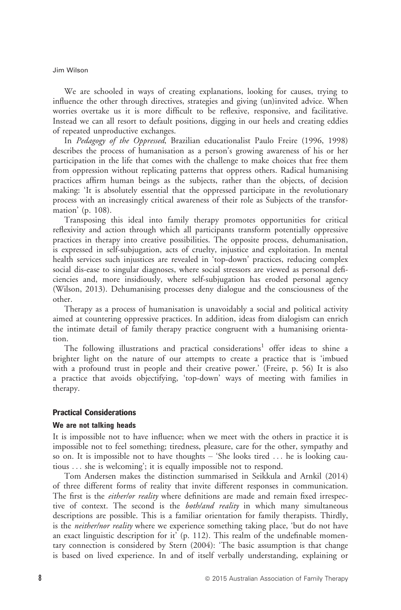We are schooled in ways of creating explanations, looking for causes, trying to influence the other through directives, strategies and giving (un)invited advice. When worries overtake us it is more difficult to be reflexive, responsive, and facilitative. Instead we can all resort to default positions, digging in our heels and creating eddies of repeated unproductive exchanges.

In Pedagogy of the Oppressed, Brazilian educationalist Paulo Freire (1996, 1998) describes the process of humanisation as a person's growing awareness of his or her participation in the life that comes with the challenge to make choices that free them from oppression without replicating patterns that oppress others. Radical humanising practices affirm human beings as the subjects, rather than the objects, of decision making: 'It is absolutely essential that the oppressed participate in the revolutionary process with an increasingly critical awareness of their role as Subjects of the transformation' (p. 108).

Transposing this ideal into family therapy promotes opportunities for critical reflexivity and action through which all participants transform potentially oppressive practices in therapy into creative possibilities. The opposite process, dehumanisation, is expressed in self-subjugation, acts of cruelty, injustice and exploitation. In mental health services such injustices are revealed in 'top-down' practices, reducing complex social dis-ease to singular diagnoses, where social stressors are viewed as personal deficiencies and, more insidiously, where self-subjugation has eroded personal agency (Wilson, 2013). Dehumanising processes deny dialogue and the consciousness of the other.

Therapy as a process of humanisation is unavoidably a social and political activity aimed at countering oppressive practices. In addition, ideas from dialogism can enrich the intimate detail of family therapy practice congruent with a humanising orientation.

The following illustrations and practical considerations<sup>1</sup> offer ideas to shine a brighter light on the nature of our attempts to create a practice that is 'imbued with a profound trust in people and their creative power.' (Freire, p. 56) It is also a practice that avoids objectifying, 'top-down' ways of meeting with families in therapy.

### Practical Considerations

## We are not talking heads

It is impossible not to have influence; when we meet with the others in practice it is impossible not to feel something; tiredness, pleasure, care for the other, sympathy and so on. It is impossible not to have thoughts – 'She looks tired ... he is looking cautious ... she is welcoming'; it is equally impossible not to respond.

Tom Andersen makes the distinction summarised in Seikkula and Arnkil (2014) of three different forms of reality that invite different responses in communication. The first is the *either/or reality* where definitions are made and remain fixed irrespective of context. The second is the *both/and reality* in which many simultaneous descriptions are possible. This is a familiar orientation for family therapists. Thirdly, is the *neither/nor reality* where we experience something taking place, 'but do not have an exact linguistic description for it' (p. 112). This realm of the undefinable momentary connection is considered by Stern (2004): 'The basic assumption is that change is based on lived experience. In and of itself verbally understanding, explaining or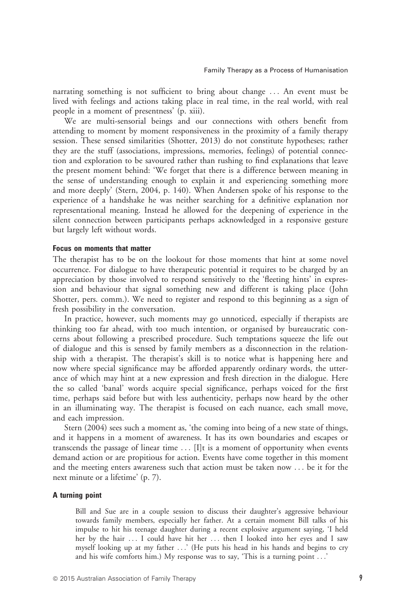narrating something is not sufficient to bring about change ... An event must be lived with feelings and actions taking place in real time, in the real world, with real people in a moment of presentness' (p. xiii).

We are multi-sensorial beings and our connections with others benefit from attending to moment by moment responsiveness in the proximity of a family therapy session. These sensed similarities (Shotter, 2013) do not constitute hypotheses; rather they are the stuff (associations, impressions, memories, feelings) of potential connection and exploration to be savoured rather than rushing to find explanations that leave the present moment behind: 'We forget that there is a difference between meaning in the sense of understanding enough to explain it and experiencing something more and more deeply' (Stern, 2004, p. 140). When Andersen spoke of his response to the experience of a handshake he was neither searching for a definitive explanation nor representational meaning. Instead he allowed for the deepening of experience in the silent connection between participants perhaps acknowledged in a responsive gesture but largely left without words.

## Focus on moments that matter

The therapist has to be on the lookout for those moments that hint at some novel occurrence. For dialogue to have therapeutic potential it requires to be charged by an appreciation by those involved to respond sensitively to the 'fleeting hints' in expression and behaviour that signal something new and different is taking place (John Shotter, pers. comm.). We need to register and respond to this beginning as a sign of fresh possibility in the conversation.

In practice, however, such moments may go unnoticed, especially if therapists are thinking too far ahead, with too much intention, or organised by bureaucratic concerns about following a prescribed procedure. Such temptations squeeze the life out of dialogue and this is sensed by family members as a disconnection in the relationship with a therapist. The therapist's skill is to notice what is happening here and now where special significance may be afforded apparently ordinary words, the utterance of which may hint at a new expression and fresh direction in the dialogue. Here the so called 'banal' words acquire special significance, perhaps voiced for the first time, perhaps said before but with less authenticity, perhaps now heard by the other in an illuminating way. The therapist is focused on each nuance, each small move, and each impression.

Stern (2004) sees such a moment as, 'the coming into being of a new state of things, and it happens in a moment of awareness. It has its own boundaries and escapes or transcends the passage of linear time ... [I]t is a moment of opportunity when events demand action or are propitious for action. Events have come together in this moment and the meeting enters awareness such that action must be taken now ... be it for the next minute or a lifetime' (p. 7).

### A turning point

Bill and Sue are in a couple session to discuss their daughter's aggressive behaviour towards family members, especially her father. At a certain moment Bill talks of his impulse to hit his teenage daughter during a recent explosive argument saying, 'I held her by the hair ... I could have hit her ... then I looked into her eyes and I saw myself looking up at my father ...' (He puts his head in his hands and begins to cry and his wife comforts him.) My response was to say, 'This is a turning point ...'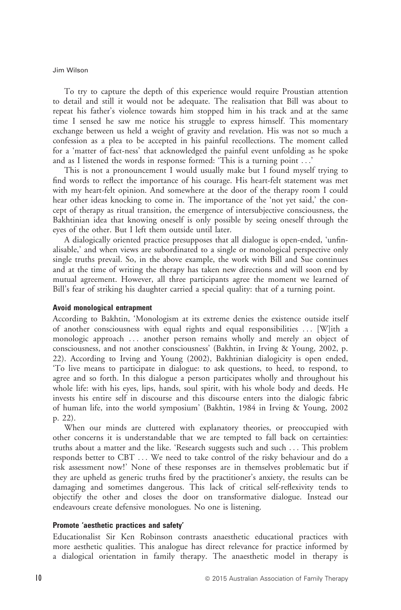To try to capture the depth of this experience would require Proustian attention to detail and still it would not be adequate. The realisation that Bill was about to repeat his father's violence towards him stopped him in his track and at the same time I sensed he saw me notice his struggle to express himself. This momentary exchange between us held a weight of gravity and revelation. His was not so much a confession as a plea to be accepted in his painful recollections. The moment called for a 'matter of fact-ness' that acknowledged the painful event unfolding as he spoke and as I listened the words in response formed: 'This is a turning point ...'

This is not a pronouncement I would usually make but I found myself trying to find words to reflect the importance of his courage. His heart-felt statement was met with my heart-felt opinion. And somewhere at the door of the therapy room I could hear other ideas knocking to come in. The importance of the 'not yet said,' the concept of therapy as ritual transition, the emergence of intersubjective consciousness, the Bakhtinian idea that knowing oneself is only possible by seeing oneself through the eyes of the other. But I left them outside until later.

A dialogically oriented practice presupposes that all dialogue is open-ended, 'unfinalisable,' and when views are subordinated to a single or monological perspective only single truths prevail. So, in the above example, the work with Bill and Sue continues and at the time of writing the therapy has taken new directions and will soon end by mutual agreement. However, all three participants agree the moment we learned of Bill's fear of striking his daughter carried a special quality: that of a turning point.

# Avoid monological entrapment

According to Bakhtin, 'Monologism at its extreme denies the existence outside itself of another consciousness with equal rights and equal responsibilities ... [W]ith a monologic approach ... another person remains wholly and merely an object of consciousness, and not another consciousness' (Bakhtin, in Irving & Young, 2002, p. 22). According to Irving and Young (2002), Bakhtinian dialogicity is open ended, 'To live means to participate in dialogue: to ask questions, to heed, to respond, to agree and so forth. In this dialogue a person participates wholly and throughout his whole life: with his eyes, lips, hands, soul spirit, with his whole body and deeds. He invests his entire self in discourse and this discourse enters into the dialogic fabric of human life, into the world symposium' (Bakhtin, 1984 in Irving & Young, 2002 p. 22).

When our minds are cluttered with explanatory theories, or preoccupied with other concerns it is understandable that we are tempted to fall back on certainties: truths about a matter and the like. 'Research suggests such and such ... This problem responds better to CBT ... We need to take control of the risky behaviour and do a risk assessment now!' None of these responses are in themselves problematic but if they are upheld as generic truths fired by the practitioner's anxiety, the results can be damaging and sometimes dangerous. This lack of critical self-reflexivity tends to objectify the other and closes the door on transformative dialogue. Instead our endeavours create defensive monologues. No one is listening.

# Promote 'aesthetic practices and safety'

Educationalist Sir Ken Robinson contrasts anaesthetic educational practices with more aesthetic qualities. This analogue has direct relevance for practice informed by a dialogical orientation in family therapy. The anaesthetic model in therapy is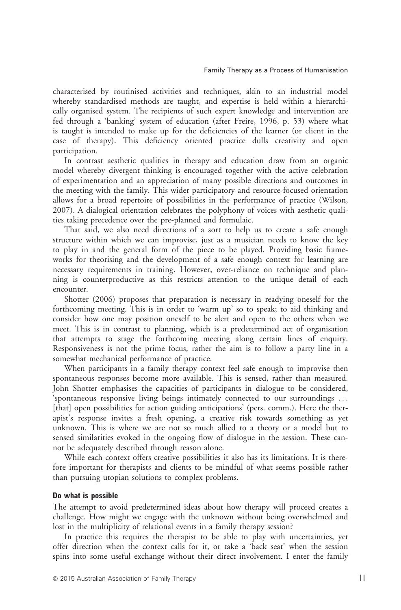characterised by routinised activities and techniques, akin to an industrial model whereby standardised methods are taught, and expertise is held within a hierarchically organised system. The recipients of such expert knowledge and intervention are fed through a 'banking' system of education (after Freire, 1996, p. 53) where what is taught is intended to make up for the deficiencies of the learner (or client in the case of therapy). This deficiency oriented practice dulls creativity and open participation.

In contrast aesthetic qualities in therapy and education draw from an organic model whereby divergent thinking is encouraged together with the active celebration of experimentation and an appreciation of many possible directions and outcomes in the meeting with the family. This wider participatory and resource-focused orientation allows for a broad repertoire of possibilities in the performance of practice (Wilson, 2007). A dialogical orientation celebrates the polyphony of voices with aesthetic qualities taking precedence over the pre-planned and formulaic.

That said, we also need directions of a sort to help us to create a safe enough structure within which we can improvise, just as a musician needs to know the key to play in and the general form of the piece to be played. Providing basic frameworks for theorising and the development of a safe enough context for learning are necessary requirements in training. However, over-reliance on technique and planning is counterproductive as this restricts attention to the unique detail of each encounter.

Shotter (2006) proposes that preparation is necessary in readying oneself for the forthcoming meeting. This is in order to 'warm up' so to speak; to aid thinking and consider how one may position oneself to be alert and open to the others when we meet. This is in contrast to planning, which is a predetermined act of organisation that attempts to stage the forthcoming meeting along certain lines of enquiry. Responsiveness is not the prime focus, rather the aim is to follow a party line in a somewhat mechanical performance of practice.

When participants in a family therapy context feel safe enough to improvise then spontaneous responses become more available. This is sensed, rather than measured. John Shotter emphasises the capacities of participants in dialogue to be considered, 'spontaneous responsive living beings intimately connected to our surroundings ... [that] open possibilities for action guiding anticipations' (pers. comm.). Here the therapist's response invites a fresh opening, a creative risk towards something as yet unknown. This is where we are not so much allied to a theory or a model but to sensed similarities evoked in the ongoing flow of dialogue in the session. These cannot be adequately described through reason alone.

While each context offers creative possibilities it also has its limitations. It is therefore important for therapists and clients to be mindful of what seems possible rather than pursuing utopian solutions to complex problems.

### Do what is possible

The attempt to avoid predetermined ideas about how therapy will proceed creates a challenge. How might we engage with the unknown without being overwhelmed and lost in the multiplicity of relational events in a family therapy session?

In practice this requires the therapist to be able to play with uncertainties, yet offer direction when the context calls for it, or take a 'back seat' when the session spins into some useful exchange without their direct involvement. I enter the family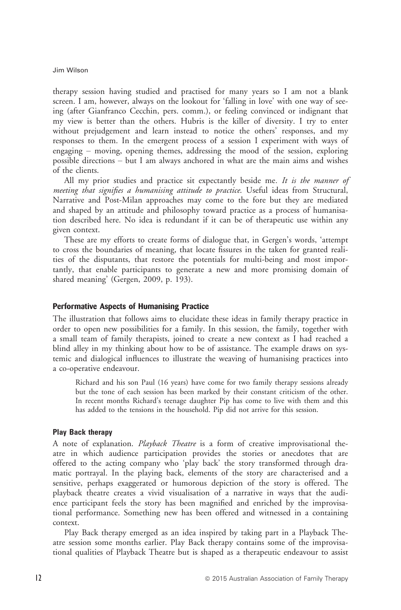therapy session having studied and practised for many years so I am not a blank screen. I am, however, always on the lookout for 'falling in love' with one way of seeing (after Gianfranco Cecchin, pers. comm.), or feeling convinced or indignant that my view is better than the others. Hubris is the killer of diversity. I try to enter without prejudgement and learn instead to notice the others' responses, and my responses to them. In the emergent process of a session I experiment with ways of engaging – moving, opening themes, addressing the mood of the session, exploring possible directions – but I am always anchored in what are the main aims and wishes of the clients.

All my prior studies and practice sit expectantly beside me. It is the manner of meeting that signifies a humanising attitude to practice. Useful ideas from Structural, Narrative and Post-Milan approaches may come to the fore but they are mediated and shaped by an attitude and philosophy toward practice as a process of humanisation described here. No idea is redundant if it can be of therapeutic use within any given context.

These are my efforts to create forms of dialogue that, in Gergen's words, 'attempt to cross the boundaries of meaning, that locate fissures in the taken for granted realities of the disputants, that restore the potentials for multi-being and most importantly, that enable participants to generate a new and more promising domain of shared meaning' (Gergen, 2009, p. 193).

# Performative Aspects of Humanising Practice

The illustration that follows aims to elucidate these ideas in family therapy practice in order to open new possibilities for a family. In this session, the family, together with a small team of family therapists, joined to create a new context as I had reached a blind alley in my thinking about how to be of assistance. The example draws on systemic and dialogical influences to illustrate the weaving of humanising practices into a co-operative endeavour.

Richard and his son Paul (16 years) have come for two family therapy sessions already but the tone of each session has been marked by their constant criticism of the other. In recent months Richard's teenage daughter Pip has come to live with them and this has added to the tensions in the household. Pip did not arrive for this session.

# Play Back therapy

A note of explanation. Playback Theatre is a form of creative improvisational theatre in which audience participation provides the stories or anecdotes that are offered to the acting company who 'play back' the story transformed through dramatic portrayal. In the playing back, elements of the story are characterised and a sensitive, perhaps exaggerated or humorous depiction of the story is offered. The playback theatre creates a vivid visualisation of a narrative in ways that the audience participant feels the story has been magnified and enriched by the improvisational performance. Something new has been offered and witnessed in a containing context.

Play Back therapy emerged as an idea inspired by taking part in a Playback Theatre session some months earlier. Play Back therapy contains some of the improvisational qualities of Playback Theatre but is shaped as a therapeutic endeavour to assist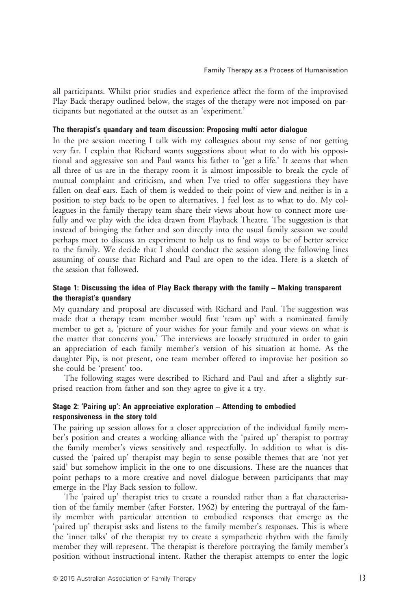all participants. Whilst prior studies and experience affect the form of the improvised Play Back therapy outlined below, the stages of the therapy were not imposed on participants but negotiated at the outset as an 'experiment.'

## The therapist's quandary and team discussion: Proposing multi actor dialogue

In the pre session meeting I talk with my colleagues about my sense of not getting very far. I explain that Richard wants suggestions about what to do with his oppositional and aggressive son and Paul wants his father to 'get a life.' It seems that when all three of us are in the therapy room it is almost impossible to break the cycle of mutual complaint and criticism, and when I've tried to offer suggestions they have fallen on deaf ears. Each of them is wedded to their point of view and neither is in a position to step back to be open to alternatives. I feel lost as to what to do. My colleagues in the family therapy team share their views about how to connect more usefully and we play with the idea drawn from Playback Theatre. The suggestion is that instead of bringing the father and son directly into the usual family session we could perhaps meet to discuss an experiment to help us to find ways to be of better service to the family. We decide that I should conduct the session along the following lines assuming of course that Richard and Paul are open to the idea. Here is a sketch of the session that followed.

# Stage 1: Discussing the idea of Play Back therapy with the family – Making transparent the therapist's quandary

My quandary and proposal are discussed with Richard and Paul. The suggestion was made that a therapy team member would first 'team up' with a nominated family member to get a, 'picture of your wishes for your family and your views on what is the matter that concerns you.' The interviews are loosely structured in order to gain an appreciation of each family member's version of his situation at home. As the daughter Pip, is not present, one team member offered to improvise her position so she could be 'present' too.

The following stages were described to Richard and Paul and after a slightly surprised reaction from father and son they agree to give it a try.

# Stage 2: 'Pairing up': An appreciative exploration – Attending to embodied responsiveness in the story told

The pairing up session allows for a closer appreciation of the individual family member's position and creates a working alliance with the 'paired up' therapist to portray the family member's views sensitively and respectfully. In addition to what is discussed the 'paired up' therapist may begin to sense possible themes that are 'not yet said' but somehow implicit in the one to one discussions. These are the nuances that point perhaps to a more creative and novel dialogue between participants that may emerge in the Play Back session to follow.

The 'paired up' therapist tries to create a rounded rather than a flat characterisation of the family member (after Forster, 1962) by entering the portrayal of the family member with particular attention to embodied responses that emerge as the 'paired up' therapist asks and listens to the family member's responses. This is where the 'inner talks' of the therapist try to create a sympathetic rhythm with the family member they will represent. The therapist is therefore portraying the family member's position without instructional intent. Rather the therapist attempts to enter the logic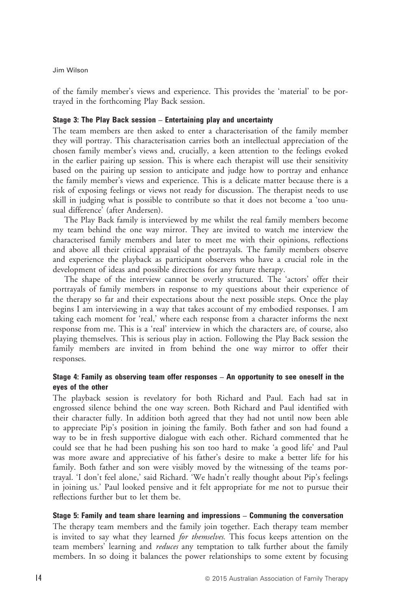of the family member's views and experience. This provides the 'material' to be portrayed in the forthcoming Play Back session.

# Stage 3: The Play Back session – Entertaining play and uncertainty

The team members are then asked to enter a characterisation of the family member they will portray. This characterisation carries both an intellectual appreciation of the chosen family member's views and, crucially, a keen attention to the feelings evoked in the earlier pairing up session. This is where each therapist will use their sensitivity based on the pairing up session to anticipate and judge how to portray and enhance the family member's views and experience. This is a delicate matter because there is a risk of exposing feelings or views not ready for discussion. The therapist needs to use skill in judging what is possible to contribute so that it does not become a 'too unusual difference' (after Andersen).

The Play Back family is interviewed by me whilst the real family members become my team behind the one way mirror. They are invited to watch me interview the characterised family members and later to meet me with their opinions, reflections and above all their critical appraisal of the portrayals. The family members observe and experience the playback as participant observers who have a crucial role in the development of ideas and possible directions for any future therapy.

The shape of the interview cannot be overly structured. The 'actors' offer their portrayals of family members in response to my questions about their experience of the therapy so far and their expectations about the next possible steps. Once the play begins I am interviewing in a way that takes account of my embodied responses. I am taking each moment for 'real,' where each response from a character informs the next response from me. This is a 'real' interview in which the characters are, of course, also playing themselves. This is serious play in action. Following the Play Back session the family members are invited in from behind the one way mirror to offer their responses.

# Stage 4: Family as observing team offer responses – An opportunity to see oneself in the eyes of the other

The playback session is revelatory for both Richard and Paul. Each had sat in engrossed silence behind the one way screen. Both Richard and Paul identified with their character fully. In addition both agreed that they had not until now been able to appreciate Pip's position in joining the family. Both father and son had found a way to be in fresh supportive dialogue with each other. Richard commented that he could see that he had been pushing his son too hard to make 'a good life' and Paul was more aware and appreciative of his father's desire to make a better life for his family. Both father and son were visibly moved by the witnessing of the teams portrayal. 'I don't feel alone,' said Richard. 'We hadn't really thought about Pip's feelings in joining us.' Paul looked pensive and it felt appropriate for me not to pursue their reflections further but to let them be.

# Stage 5: Family and team share learning and impressions – Communing the conversation

The therapy team members and the family join together. Each therapy team member is invited to say what they learned for themselves. This focus keeps attention on the team members' learning and reduces any temptation to talk further about the family members. In so doing it balances the power relationships to some extent by focusing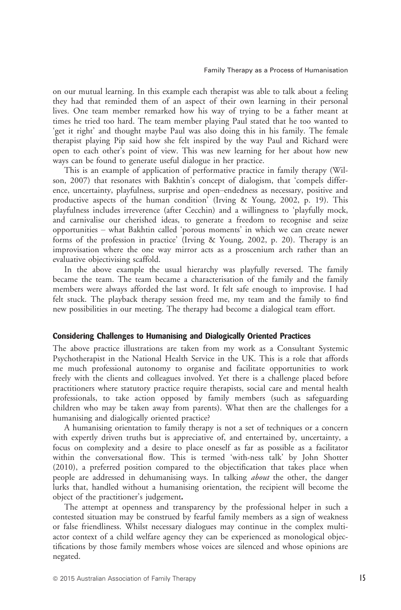on our mutual learning. In this example each therapist was able to talk about a feeling they had that reminded them of an aspect of their own learning in their personal lives. One team member remarked how his way of trying to be a father meant at times he tried too hard. The team member playing Paul stated that he too wanted to 'get it right' and thought maybe Paul was also doing this in his family. The female therapist playing Pip said how she felt inspired by the way Paul and Richard were open to each other's point of view. This was new learning for her about how new ways can be found to generate useful dialogue in her practice.

This is an example of application of performative practice in family therapy (Wilson, 2007) that resonates with Bakhtin's concept of dialogism, that 'compels difference, uncertainty, playfulness, surprise and open–endedness as necessary, positive and productive aspects of the human condition' (Irving & Young, 2002, p. 19). This playfulness includes irreverence (after Cecchin) and a willingness to 'playfully mock, and carnivalise our cherished ideas, to generate a freedom to recognise and seize opportunities – what Bakhtin called 'porous moments' in which we can create newer forms of the profession in practice' (Irving & Young, 2002, p. 20). Therapy is an improvisation where the one way mirror acts as a proscenium arch rather than an evaluative objectivising scaffold.

In the above example the usual hierarchy was playfully reversed. The family became the team. The team became a characterisation of the family and the family members were always afforded the last word. It felt safe enough to improvise. I had felt stuck. The playback therapy session freed me, my team and the family to find new possibilities in our meeting. The therapy had become a dialogical team effort.

# Considering Challenges to Humanising and Dialogically Oriented Practices

The above practice illustrations are taken from my work as a Consultant Systemic Psychotherapist in the National Health Service in the UK. This is a role that affords me much professional autonomy to organise and facilitate opportunities to work freely with the clients and colleagues involved. Yet there is a challenge placed before practitioners where statutory practice require therapists, social care and mental health professionals, to take action opposed by family members (such as safeguarding children who may be taken away from parents). What then are the challenges for a humanising and dialogically oriented practice?

A humanising orientation to family therapy is not a set of techniques or a concern with expertly driven truths but is appreciative of, and entertained by, uncertainty, a focus on complexity and a desire to place oneself as far as possible as a facilitator within the conversational flow. This is termed 'with-ness talk' by John Shotter (2010), a preferred position compared to the objectification that takes place when people are addressed in dehumanising ways. In talking *about* the other, the danger lurks that, handled without a humanising orientation, the recipient will become the object of the practitioner's judgement.

The attempt at openness and transparency by the professional helper in such a contested situation may be construed by fearful family members as a sign of weakness or false friendliness. Whilst necessary dialogues may continue in the complex multiactor context of a child welfare agency they can be experienced as monological objectifications by those family members whose voices are silenced and whose opinions are negated.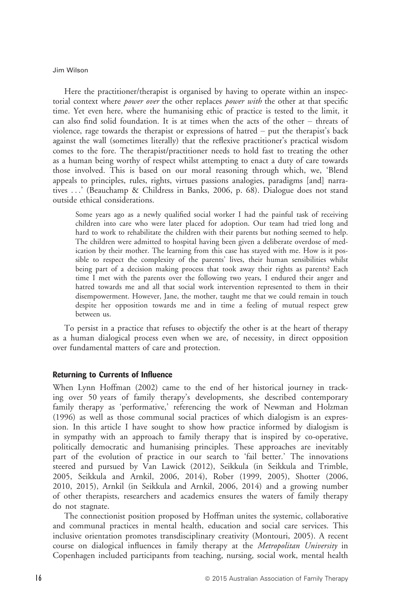Here the practitioner/therapist is organised by having to operate within an inspectorial context where *power over* the other replaces *power with* the other at that specific time. Yet even here, where the humanising ethic of practice is tested to the limit, it can also find solid foundation. It is at times when the acts of the other – threats of violence, rage towards the therapist or expressions of hatred – put the therapist's back against the wall (sometimes literally) that the reflexive practitioner's practical wisdom comes to the fore. The therapist/practitioner needs to hold fast to treating the other as a human being worthy of respect whilst attempting to enact a duty of care towards those involved. This is based on our moral reasoning through which, we, 'Blend appeals to principles, rules, rights, virtues passions analogies, paradigms [and] narratives ...' (Beauchamp & Childress in Banks, 2006, p. 68). Dialogue does not stand outside ethical considerations.

Some years ago as a newly qualified social worker I had the painful task of receiving children into care who were later placed for adoption. Our team had tried long and hard to work to rehabilitate the children with their parents but nothing seemed to help. The children were admitted to hospital having been given a deliberate overdose of medication by their mother. The learning from this case has stayed with me. How is it possible to respect the complexity of the parents' lives, their human sensibilities whilst being part of a decision making process that took away their rights as parents? Each time I met with the parents over the following two years, I endured their anger and hatred towards me and all that social work intervention represented to them in their disempowerment. However, Jane, the mother, taught me that we could remain in touch despite her opposition towards me and in time a feeling of mutual respect grew between us.

To persist in a practice that refuses to objectify the other is at the heart of therapy as a human dialogical process even when we are, of necessity, in direct opposition over fundamental matters of care and protection.

# Returning to Currents of Influence

When Lynn Hoffman (2002) came to the end of her historical journey in tracking over 50 years of family therapy's developments, she described contemporary family therapy as 'performative,' referencing the work of Newman and Holzman (1996) as well as those communal social practices of which dialogism is an expression. In this article I have sought to show how practice informed by dialogism is in sympathy with an approach to family therapy that is inspired by co-operative, politically democratic and humanising principles. These approaches are inevitably part of the evolution of practice in our search to 'fail better.' The innovations steered and pursued by Van Lawick (2012), Seikkula (in Seikkula and Trimble, 2005, Seikkula and Arnkil, 2006, 2014), Rober (1999, 2005), Shotter (2006, 2010, 2015), Arnkil (in Seikkula and Arnkil, 2006, 2014) and a growing number of other therapists, researchers and academics ensures the waters of family therapy do not stagnate.

The connectionist position proposed by Hoffman unites the systemic, collaborative and communal practices in mental health, education and social care services. This inclusive orientation promotes transdisciplinary creativity (Montouri, 2005). A recent course on dialogical influences in family therapy at the Metropolitan University in Copenhagen included participants from teaching, nursing, social work, mental health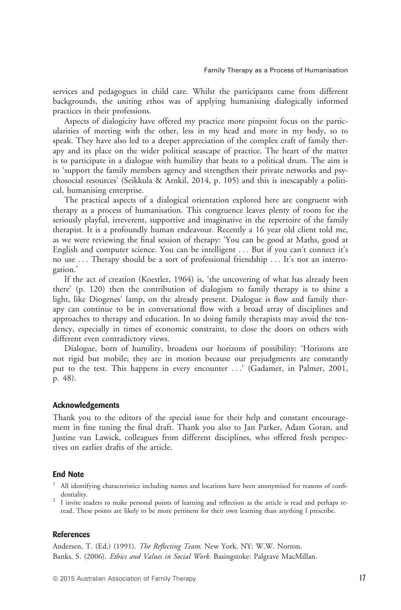services and pedagogues in child care. Whilst the participants came from different backgrounds, the uniting ethos was of applying humanising dialogically informed practices in their professions.

Aspects of dialogicity have offered my practice more pinpoint focus on the particularities of meeting with the other, less in my head and more in my body, so to speak. They have also led to a deeper appreciation of the complex craft of family therapy and its place on the wider political seascape of practice. The heart of the matter is to participate in a dialogue with humility that beats to a political drum. The aim is to 'support the family members agency and strengthen their private networks and psychosocial resources' (Seikkula & Arnkil, 2014, p. 105) and this is inescapably a political, humanising enterprise.

The practical aspects of a dialogical orientation explored here are congruent with therapy as a process of humanisation. This congruence leaves plenty of room for the seriously playful, irreverent, supportive and imaginative in the repertoire of the family therapist. It is a profoundly human endeavour. Recently a 16 year old client told me, as we were reviewing the final session of therapy: 'You can be good at Maths, good at English and computer science. You can be intelligent ... But if you can't connect it's no use ... Therapy should be a sort of professional friendship ... It's not an interrogation.'

If the act of creation (Koestler, 1964) is, 'the uncovering of what has already been there' (p. 120) then the contribution of dialogism to family therapy is to shine a light, like Diogenes' lamp, on the already present. Dialogue is flow and family therapy can continue to be in conversational flow with a broad array of disciplines and approaches to therapy and education. In so doing family therapists may avoid the tendency, especially in times of economic constraint, to close the doors on others with different even contradictory views.

Dialogue, born of humility, broadens our horizons of possibility: 'Horizons are not rigid but mobile; they are in motion because our prejudgments are constantly put to the test. This happens in every encounter ...' (Gadamer, in Palmer, 2001, p. 48).

#### Acknowledgements

Thank you to the editors of the special issue for their help and constant encouragement in fine tuning the final draft. Thank you also to Jan Parker, Adam Goran, and Justine van Lawick, colleagues from different disciplines, who offered fresh perspectives on earlier drafts of the article.

## End Note

- <sup>1</sup> All identifying characteristics including names and locations have been anonymised for reasons of confidentiality.<br>I invite readers to make personal points of learning and reflection as the article is read and perhaps re-
- read. These points are likely to be more pertinent for their own learning than anything I prescribe.

## References

Andersen, T. (Ed.) (1991). The Reflecting Team. New York, NY: W.W. Norton. Banks, S. (2006). Ethics and Values in Social Work. Basingstoke: Palgrave MacMillan.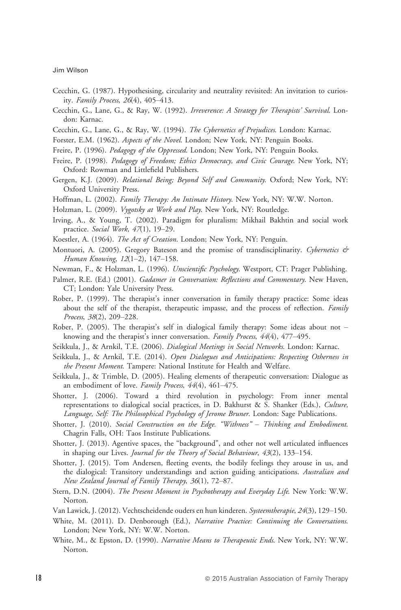- Cecchin, G. (1987). Hypothesising, circularity and neutrality revisited: An invitation to curiosity. Family Process, 26(4), 405–413.
- Cecchin, G., Lane, G., & Ray, W. (1992). Irreverence: A Strategy for Therapists' Survival. London: Karnac.
- Cecchin, G., Lane, G., & Ray, W. (1994). The Cybernetics of Prejudices. London: Karnac.
- Forster, E.M. (1962). Aspects of the Novel. London; New York, NY: Penguin Books.
- Freire, P. (1996). Pedagogy of the Oppressed. London; New York, NY: Penguin Books.
- Freire, P. (1998). Pedagogy of Freedom; Ethics Democracy, and Civic Courage. New York, NY; Oxford: Rowman and Littlefield Publishers.
- Gergen, K.J. (2009). Relational Being; Beyond Self and Community. Oxford; New York, NY: Oxford University Press.
- Hoffman, L. (2002). Family Therapy: An Intimate History. New York, NY: W.W. Norton.
- Holzman, L. (2009). Vygotsky at Work and Play. New York, NY: Routledge.
- Irving, A., & Young, T. (2002). Paradigm for pluralism: Mikhail Bakhtin and social work practice. Social Work, 47(1), 19–29.
- Koestler, A. (1964). The Act of Creation. London; New York, NY: Penguin.
- Montuori, A. (2005). Gregory Bateson and the promise of transdisciplinarity. Cybernetics  $\phi$ Human Knowing, 12(1–2), 147–158.
- Newman, F., & Holzman, L. (1996). Unscientific Psychology. Westport, CT: Prager Publishing.
- Palmer, R.E. (Ed.) (2001). Gadamer in Conversation: Reflections and Commentary. New Haven, CT; London: Yale University Press.
- Rober, P. (1999). The therapist's inner conversation in family therapy practice: Some ideas about the self of the therapist, therapeutic impasse, and the process of reflection. Family Process, 38(2), 209–228.
- Rober, P. (2005). The therapist's self in dialogical family therapy: Some ideas about not knowing and the therapist's inner conversation. Family Process, 44(4), 477–495.
- Seikkula, J., & Arnkil, T.E. (2006). Dialogical Meetings in Social Networks. London: Karnac.
- Seikkula, J., & Arnkil, T.E. (2014). Open Dialogues and Anticipations: Respecting Otherness in the Present Moment. Tampere: National Institute for Health and Welfare.
- Seikkula, J., & Trimble, D. (2005). Healing elements of therapeutic conversation: Dialogue as an embodiment of love. Family Process, 44(4), 461–475.
- Shotter, J. (2006). Toward a third revolution in psychology: From inner mental representations to dialogical social practices, in D. Bakhurst & S. Shanker (Eds.), Culture, Language, Self: The Philosophical Psychology of Jerome Bruner. London: Sage Publications.
- Shotter, J. (2010). Social Construction on the Edge. "Withness" Thinking and Embodiment. Chagrin Falls, OH: Taos Institute Publications.
- Shotter, J. (2013). Agentive spaces, the "background", and other not well articulated influences in shaping our Lives. Journal for the Theory of Social Behaviour, 43(2), 133–154.
- Shotter, J. (2015). Tom Andersen, fleeting events, the bodily feelings they arouse in us, and the dialogical: Transitory understandings and action guiding anticipations. Australian and New Zealand Journal of Family Therapy, 36(1), 72–87.
- Stern, D.N. (2004). The Present Moment in Psychotherapy and Everyday Life. New York: W.W. Norton.
- Van Lawick, J. (2012). Vechtscheidende ouders en hun kinderen. Systeemtherapie, 24(3), 129–150.
- White, M. (2011). D. Denborough (Ed.), Narrative Practice: Continuing the Conversations. London; New York, NY: W.W. Norton.
- White, M., & Epston, D. (1990). Narrative Means to Therapeutic Ends. New York, NY: W.W. Norton.